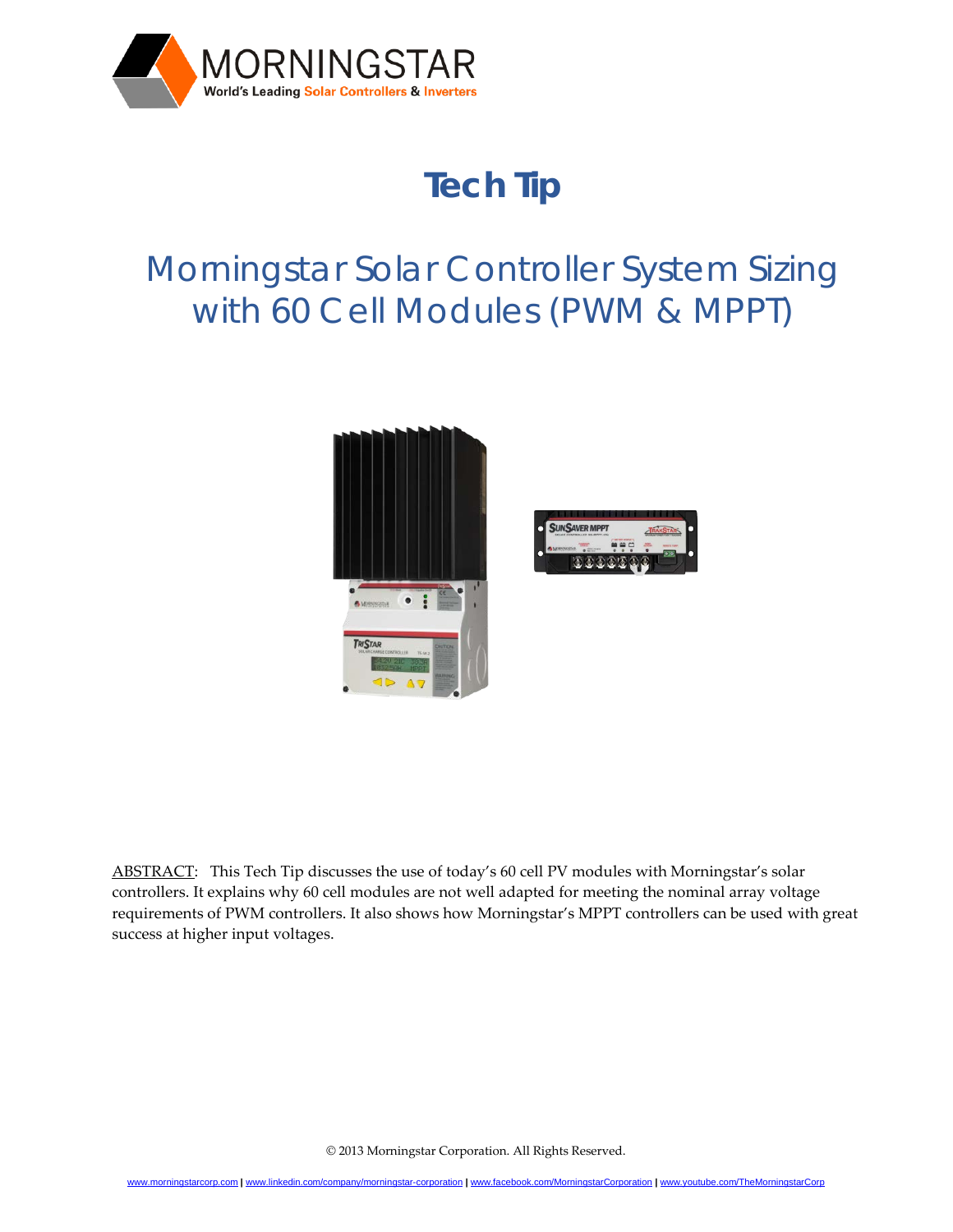

# **Tech Tip**

## Morningstar Solar Controller System Sizing with 60 Cell Modules (PWM & MPPT)



ABSTRACT: This Tech Tip discusses the use of today's 60 cell PV modules with Morningstar's solar controllers. It explains why 60 cell modules are not well adapted for meeting the nominal array voltage requirements of PWM controllers. It also shows how Morningstar's MPPT controllers can be used with great success at higher input voltages.

© 2013 Morningstar Corporation. All Rights Reserved.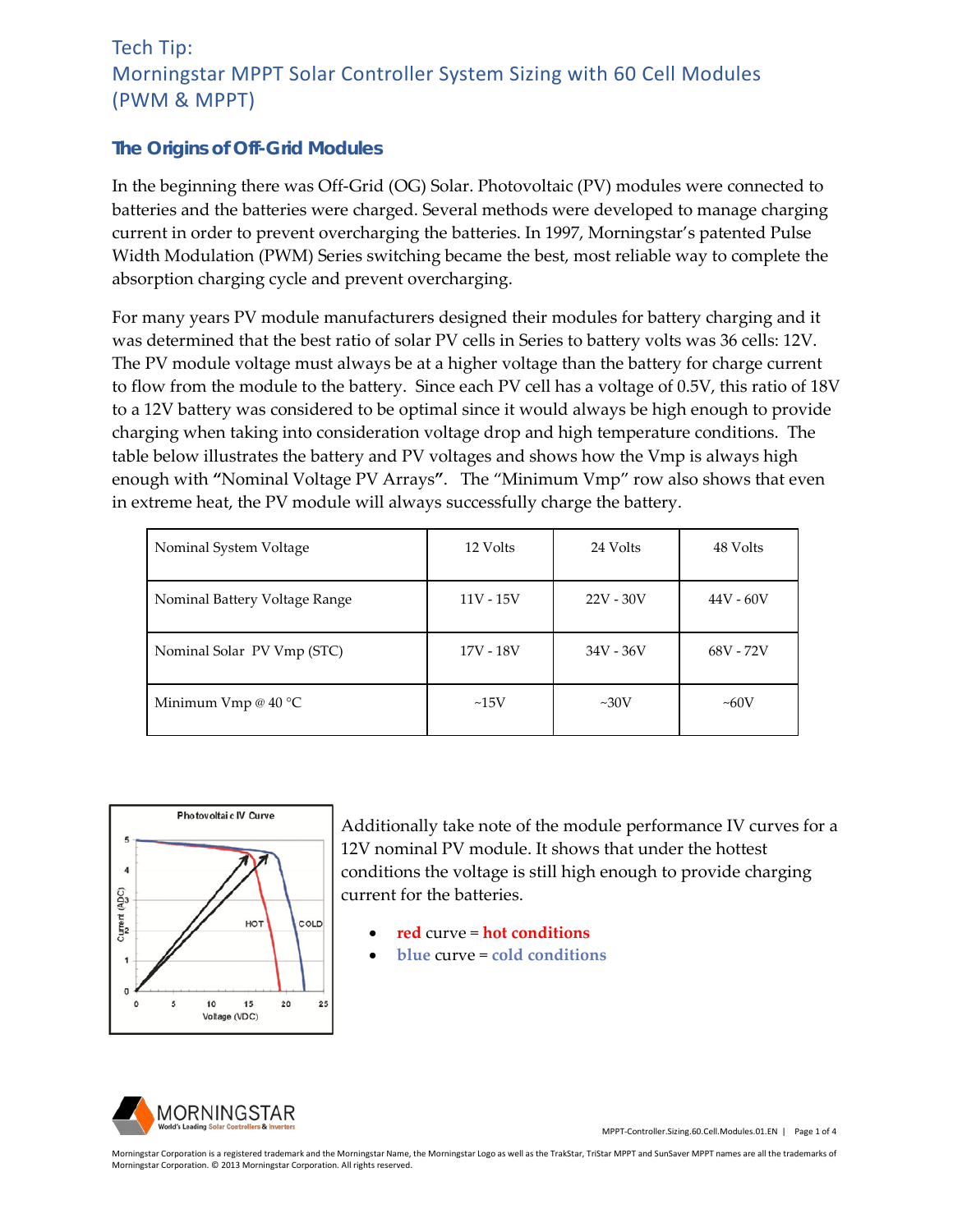#### *The Origins of Off-Grid Modules*

In the beginning there was Off-Grid (OG) Solar. Photovoltaic (PV) modules were connected to batteries and the batteries were charged. Several methods were developed to manage charging current in order to prevent overcharging the batteries. In 1997, Morningstar's patented Pulse Width Modulation (PWM) Series switching became the best, most reliable way to complete the absorption charging cycle and prevent overcharging.

For many years PV module manufacturers designed their modules for battery charging and it was determined that the best ratio of solar PV cells in Series to battery volts was 36 cells: 12V. The PV module voltage must always be at a higher voltage than the battery for charge current to flow from the module to the battery. Since each PV cell has a voltage of 0.5V, this ratio of 18V to a 12V battery was considered to be optimal since it would always be high enough to provide charging when taking into consideration voltage drop and high temperature conditions. The table below illustrates the battery and PV voltages and shows how the Vmp is always high enough with **"**Nominal Voltage PV Arrays**"**. The "Minimum Vmp" row also shows that even in extreme heat, the PV module will always successfully charge the battery.

| Nominal System Voltage        | 12 Volts    | 24 Volts    | 48 Volts    |
|-------------------------------|-------------|-------------|-------------|
| Nominal Battery Voltage Range | $11V - 15V$ | $22V - 30V$ | $44V - 60V$ |
| Nominal Solar PV Vmp (STC)    | 17V - 18V   | 34V - 36V   | 68V - 72V   |
| Minimum Vmp @ $40^{\circ}$ C  | ~15V        | $\sim 30V$  | $\sim 60V$  |



Additionally take note of the module performance IV curves for a 12V nominal PV module. It shows that under the hottest conditions the voltage is still high enough to provide charging current for the batteries.

- **red** curve = **hot conditions**
- **blue** curve = **cold conditions**



MPPT-Controller.Sizing.60.Cell.Modules.01.EN | Page 1 of 4

Morningstar Corporation is a registered trademark and the Morningstar Name, the Morningstar Logo as well as the TrakStar, TriStar MPPT and SunSaver MPPT names are all the trademarks of Morningstar Corporation. © 2013 Morningstar Corporation. All rights reserved.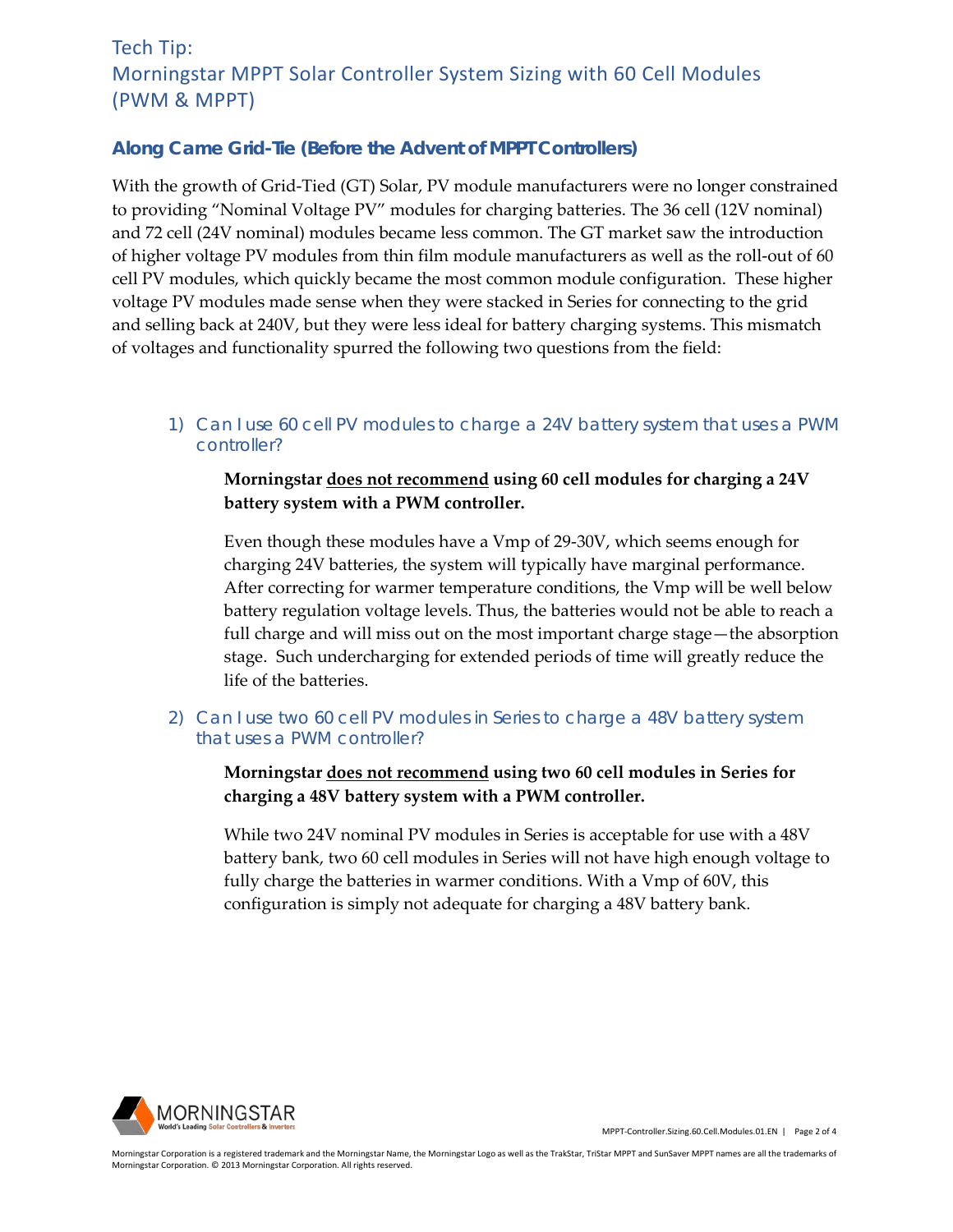#### *Along Came Grid-Tie (Before the Advent of MPPT Controllers)*

With the growth of Grid-Tied (GT) Solar, PV module manufacturers were no longer constrained to providing "Nominal Voltage PV" modules for charging batteries. The 36 cell (12V nominal) and 72 cell (24V nominal) modules became less common. The GT market saw the introduction of higher voltage PV modules from thin film module manufacturers as well as the roll-out of 60 cell PV modules, which quickly became the most common module configuration. These higher voltage PV modules made sense when they were stacked in Series for connecting to the grid and selling back at 240V, but they were less ideal for battery charging systems. This mismatch of voltages and functionality spurred the following two questions from the field:

*1) Can I use 60 cell PV modules to charge a 24V battery system that uses a PWM controller?*

**Morningstar does not recommend using 60 cell modules for charging a 24V battery system with a PWM controller.**

Even though these modules have a Vmp of 29-30V, which seems enough for charging 24V batteries, the system will typically have marginal performance. After correcting for warmer temperature conditions, the Vmp will be well below battery regulation voltage levels. Thus, the batteries would not be able to reach a full charge and will miss out on the most important charge stage—the absorption stage. Such undercharging for extended periods of time will greatly reduce the life of the batteries.

*2) Can I use two 60 cell PV modules in Series to charge a 48V battery system that uses a PWM controller?*

**Morningstar does not recommend using two 60 cell modules in Series for charging a 48V battery system with a PWM controller.**

While two 24V nominal PV modules in Series is acceptable for use with a 48V battery bank, two 60 cell modules in Series will not have high enough voltage to fully charge the batteries in warmer conditions. With a Vmp of 60V, this configuration is simply not adequate for charging a 48V battery bank.



MPPT-Controller.Sizing.60.Cell.Modules.01.EN | Page 2 of 4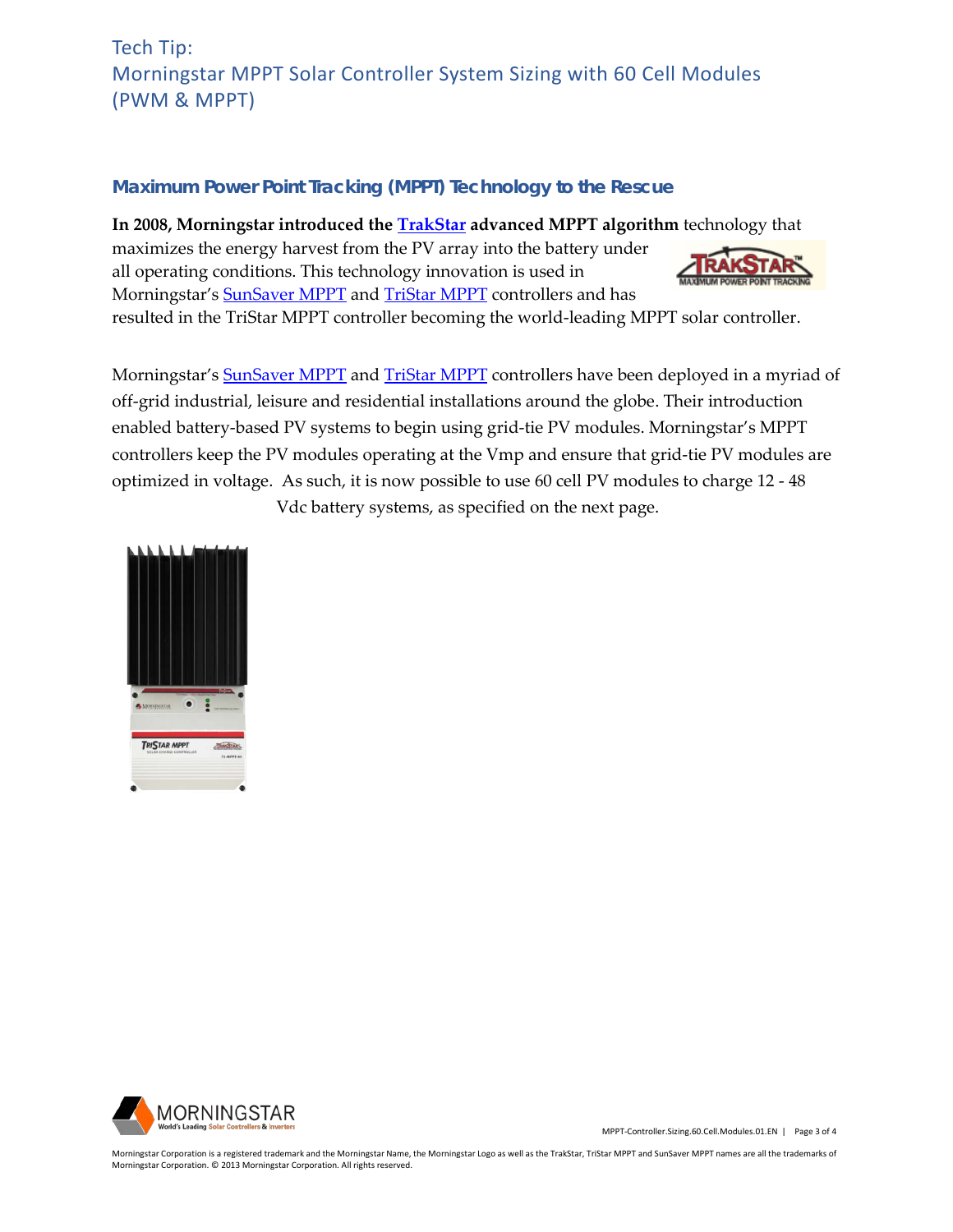#### *Maximum Power Point Tracking (MPPT) Technology to the Rescue*

**In 2008, Morningstar introduced the [TrakStar](http://www.morningstarcorp.com/trakstar) advanced MPPT algorithm** technology that

maximizes the energy harvest from the PV array into the battery under all operating conditions. This technology innovation is used in Morningstar's **SunSaver MPPT** and **TriStar MPPT** controllers and has



resulted in the TriStar MPPT controller becoming the world-leading MPPT solar controller.

Morningstar's **SunSaver MPPT** and **TriStar MPPT** controllers have been deployed in a myriad of off-grid industrial, leisure and residential installations around the globe. Their introduction enabled battery-based PV systems to begin using grid-tie PV modules. Morningstar's MPPT controllers keep the PV modules operating at the Vmp and ensure that grid-tie PV modules are optimized in voltage. As such, it is now possible to use 60 cell PV modules to charge 12 - 48

Vdc battery systems, as specified on the next page.





MPPT-Controller.Sizing.60.Cell.Modules.01.EN | Page 3 of 4

Morningstar Corporation is a registered trademark and the Morningstar Name, the Morningstar Logo as well as the TrakStar, TriStar MPPT and SunSaver MPPT names are all the trademarks of Morningstar Corporation. © 2013 Morningstar Corporation. All rights reserved.